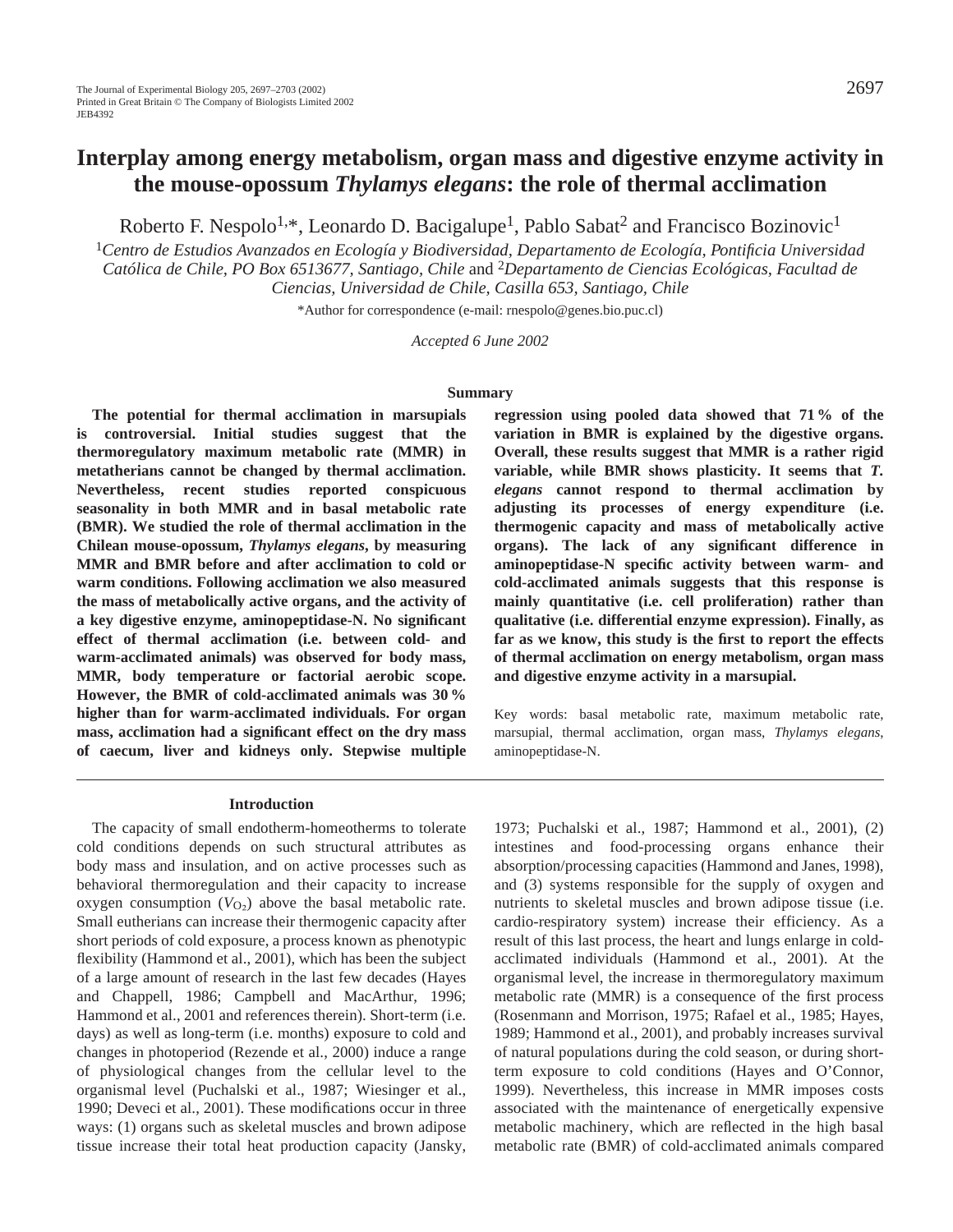# **Interplay among energy metabolism, organ mass and digestive enzyme activity in the mouse-opossum** *Thylamys elegans***: the role of thermal acclimation**

Roberto F. Nespolo<sup>1,\*</sup>, Leonardo D. Bacigalupe<sup>1</sup>, Pablo Sabat<sup>2</sup> and Francisco Bozinovic<sup>1</sup>

<sup>1</sup>*Centro de Estudios Avanzados en Ecología y Biodiversidad, Departamento de Ecología, Pontificia Universidad Católica de Chile, PO Box 6513677, Santiago, Chile* and 2*Departamento de Ciencias Ecológicas, Facultad de Ciencias, Universidad de Chile, Casilla 653, Santiago, Chile*

\*Author for correspondence (e-mail: rnespolo@genes.bio.puc.cl)

*Accepted 6 June 2002* 

#### **Summary**

**The potential for thermal acclimation in marsupials is controversial. Initial studies suggest that the thermoregulatory maximum metabolic rate (MMR) in metatherians cannot be changed by thermal acclimation. Nevertheless, recent studies reported conspicuous seasonality in both MMR and in basal metabolic rate (BMR). We studied the role of thermal acclimation in the Chilean mouse-opossum,** *Thylamys elegans***, by measuring MMR and BMR before and after acclimation to cold or warm conditions. Following acclimation we also measured the mass of metabolically active organs, and the activity of a key digestive enzyme, aminopeptidase-N. No significant effect of thermal acclimation (i.e. between cold- and warm-acclimated animals) was observed for body mass, MMR, body temperature or factorial aerobic scope. However, the BMR of cold-acclimated animals was 30 % higher than for warm-acclimated individuals. For organ mass, acclimation had a significant effect on the dry mass of caecum, liver and kidneys only. Stepwise multiple** **regression using pooled data showed that 71 % of the variation in BMR is explained by the digestive organs. Overall, these results suggest that MMR is a rather rigid variable, while BMR shows plasticity. It seems that** *T. elegans* **cannot respond to thermal acclimation by adjusting its processes of energy expenditure (i.e. thermogenic capacity and mass of metabolically active organs). The lack of any significant difference in aminopeptidase-N specific activity between warm- and cold-acclimated animals suggests that this response is mainly quantitative (i.e. cell proliferation) rather than qualitative (i.e. differential enzyme expression). Finally, as far as we know, this study is the first to report the effects of thermal acclimation on energy metabolism, organ mass and digestive enzyme activity in a marsupial.**

Key words: basal metabolic rate, maximum metabolic rate, marsupial, thermal acclimation, organ mass, *Thylamys elegans*, aminopeptidase-N.

#### **Introduction**

The capacity of small endotherm-homeotherms to tolerate cold conditions depends on such structural attributes as body mass and insulation, and on active processes such as behavioral thermoregulation and their capacity to increase oxygen consumption  $(V<sub>O2</sub>)$  above the basal metabolic rate. Small eutherians can increase their thermogenic capacity after short periods of cold exposure, a process known as phenotypic flexibility (Hammond et al., 2001), which has been the subject of a large amount of research in the last few decades (Hayes and Chappell, 1986; Campbell and MacArthur, 1996; Hammond et al., 2001 and references therein). Short-term (i.e. days) as well as long-term (i.e. months) exposure to cold and changes in photoperiod (Rezende et al., 2000) induce a range of physiological changes from the cellular level to the organismal level (Puchalski et al., 1987; Wiesinger et al., 1990; Deveci et al., 2001). These modifications occur in three ways: (1) organs such as skeletal muscles and brown adipose tissue increase their total heat production capacity (Jansky,

1973; Puchalski et al., 1987; Hammond et al., 2001), (2) intestines and food-processing organs enhance their absorption/processing capacities (Hammond and Janes, 1998), and (3) systems responsible for the supply of oxygen and nutrients to skeletal muscles and brown adipose tissue (i.e. cardio-respiratory system) increase their efficiency. As a result of this last process, the heart and lungs enlarge in coldacclimated individuals (Hammond et al., 2001). At the organismal level, the increase in thermoregulatory maximum metabolic rate (MMR) is a consequence of the first process (Rosenmann and Morrison, 1975; Rafael et al., 1985; Hayes, 1989; Hammond et al., 2001), and probably increases survival of natural populations during the cold season, or during shortterm exposure to cold conditions (Hayes and O'Connor, 1999). Nevertheless, this increase in MMR imposes costs associated with the maintenance of energetically expensive metabolic machinery, which are reflected in the high basal metabolic rate (BMR) of cold-acclimated animals compared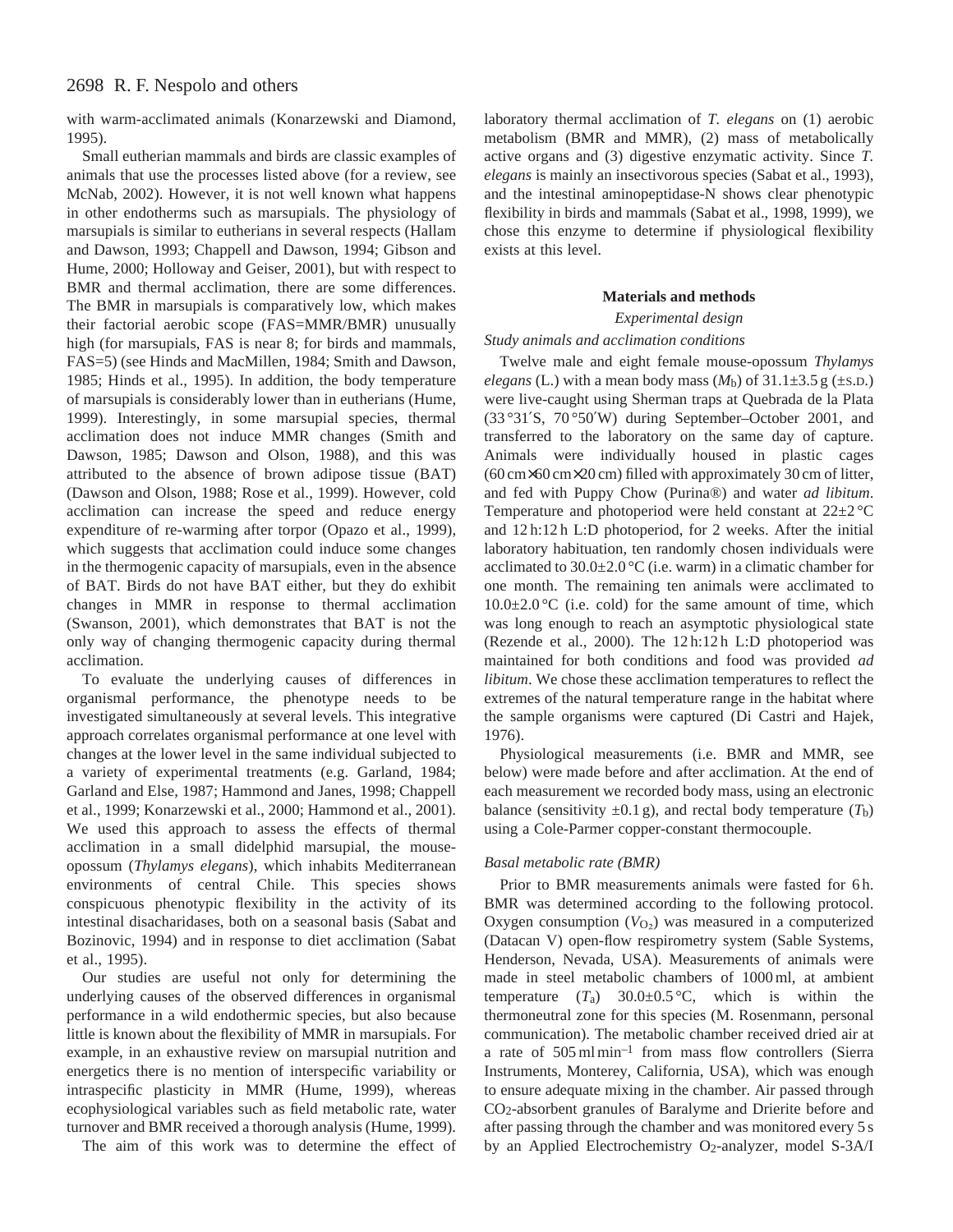# 2698 R. F. Nespolo and others

with warm-acclimated animals (Konarzewski and Diamond, 1995).

Small eutherian mammals and birds are classic examples of animals that use the processes listed above (for a review, see McNab, 2002). However, it is not well known what happens in other endotherms such as marsupials. The physiology of marsupials is similar to eutherians in several respects (Hallam and Dawson, 1993; Chappell and Dawson, 1994; Gibson and Hume, 2000; Holloway and Geiser, 2001), but with respect to BMR and thermal acclimation, there are some differences. The BMR in marsupials is comparatively low, which makes their factorial aerobic scope (FAS=MMR/BMR) unusually high (for marsupials, FAS is near 8; for birds and mammals, FAS=5) (see Hinds and MacMillen, 1984; Smith and Dawson, 1985; Hinds et al., 1995). In addition, the body temperature of marsupials is considerably lower than in eutherians (Hume, 1999). Interestingly, in some marsupial species, thermal acclimation does not induce MMR changes (Smith and Dawson, 1985; Dawson and Olson, 1988), and this was attributed to the absence of brown adipose tissue (BAT) (Dawson and Olson, 1988; Rose et al., 1999). However, cold acclimation can increase the speed and reduce energy expenditure of re-warming after torpor (Opazo et al., 1999), which suggests that acclimation could induce some changes in the thermogenic capacity of marsupials, even in the absence of BAT. Birds do not have BAT either, but they do exhibit changes in MMR in response to thermal acclimation (Swanson, 2001), which demonstrates that BAT is not the only way of changing thermogenic capacity during thermal acclimation.

To evaluate the underlying causes of differences in organismal performance, the phenotype needs to be investigated simultaneously at several levels. This integrative approach correlates organismal performance at one level with changes at the lower level in the same individual subjected to a variety of experimental treatments (e.g. Garland, 1984; Garland and Else, 1987; Hammond and Janes, 1998; Chappell et al., 1999; Konarzewski et al., 2000; Hammond et al., 2001). We used this approach to assess the effects of thermal acclimation in a small didelphid marsupial, the mouseopossum (*Thylamys elegans*), which inhabits Mediterranean environments of central Chile. This species shows conspicuous phenotypic flexibility in the activity of its intestinal disacharidases, both on a seasonal basis (Sabat and Bozinovic, 1994) and in response to diet acclimation (Sabat et al., 1995).

Our studies are useful not only for determining the underlying causes of the observed differences in organismal performance in a wild endothermic species, but also because little is known about the flexibility of MMR in marsupials. For example, in an exhaustive review on marsupial nutrition and energetics there is no mention of interspecific variability or intraspecific plasticity in MMR (Hume, 1999), whereas ecophysiological variables such as field metabolic rate, water turnover and BMR received a thorough analysis (Hume, 1999).

The aim of this work was to determine the effect of

laboratory thermal acclimation of *T. elegans* on (1) aerobic metabolism (BMR and MMR), (2) mass of metabolically active organs and (3) digestive enzymatic activity. Since *T. elegans* is mainly an insectivorous species (Sabat et al., 1993), and the intestinal aminopeptidase-N shows clear phenotypic flexibility in birds and mammals (Sabat et al., 1998, 1999), we chose this enzyme to determine if physiological flexibility exists at this level.

### **Materials and methods**

# *Experimental design*

# *Study animals and acclimation conditions*

Twelve male and eight female mouse-opossum *Thylamys elegans* (L.) with a mean body mass  $(M_b)$  of  $31.1\pm3.5$  g ( $\pm$ s.p.) were live-caught using Sherman traps at Quebrada de la Plata (33 °31′S, 70 °50′W) during September–October 2001, and transferred to the laboratory on the same day of capture. Animals were individually housed in plastic cages (60 cm×60 cm×20 cm) filled with approximately 30 cm of litter, and fed with Puppy Chow (Purina®) and water *ad libitum*. Temperature and photoperiod were held constant at 22±2 °C and 12 h:12 h L:D photoperiod, for 2 weeks. After the initial laboratory habituation, ten randomly chosen individuals were acclimated to  $30.0\pm2.0\,^{\circ}\text{C}$  (i.e. warm) in a climatic chamber for one month. The remaining ten animals were acclimated to  $10.0\pm2.0\degree C$  (i.e. cold) for the same amount of time, which was long enough to reach an asymptotic physiological state (Rezende et al., 2000). The 12 h:12 h L:D photoperiod was maintained for both conditions and food was provided *ad libitum*. We chose these acclimation temperatures to reflect the extremes of the natural temperature range in the habitat where the sample organisms were captured (Di Castri and Hajek, 1976).

Physiological measurements (i.e. BMR and MMR, see below) were made before and after acclimation. At the end of each measurement we recorded body mass, using an electronic balance (sensitivity  $\pm 0.1$  g), and rectal body temperature  $(T_b)$ using a Cole-Parmer copper-constant thermocouple.

# *Basal metabolic rate (BMR)*

Prior to BMR measurements animals were fasted for 6h. BMR was determined according to the following protocol. Oxygen consumption  $(V<sub>O2</sub>)$  was measured in a computerized (Datacan V) open-flow respirometry system (Sable Systems, Henderson, Nevada, USA). Measurements of animals were made in steel metabolic chambers of 1000 ml, at ambient temperature  $(T_a)$  30.0 $\pm$ 0.5 °C, which is within the thermoneutral zone for this species (M. Rosenmann, personal communication). The metabolic chamber received dried air at a rate of 505 ml min–1 from mass flow controllers (Sierra Instruments, Monterey, California, USA), which was enough to ensure adequate mixing in the chamber. Air passed through CO2-absorbent granules of Baralyme and Drierite before and after passing through the chamber and was monitored every 5 s by an Applied Electrochemistry O<sub>2</sub>-analyzer, model S-3A/I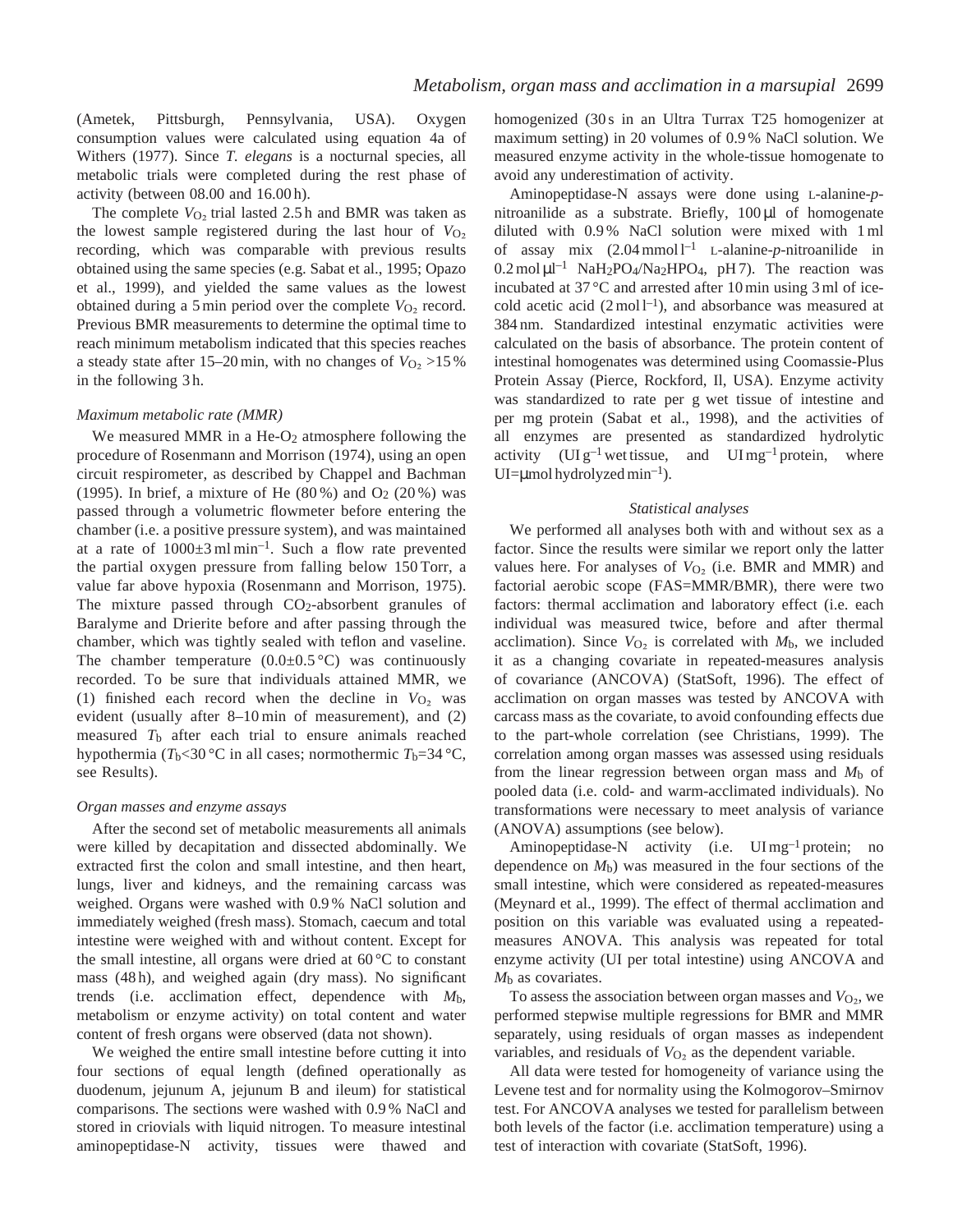(Ametek, Pittsburgh, Pennsylvania, USA). Oxygen consumption values were calculated using equation 4a of Withers (1977). Since *T. elegans* is a nocturnal species, all metabolic trials were completed during the rest phase of activity (between 08.00 and 16.00 h).

The complete  $V_{O_2}$  trial lasted 2.5 h and BMR was taken as the lowest sample registered during the last hour of  $V_{O<sub>2</sub>}$ recording, which was comparable with previous results obtained using the same species (e.g. Sabat et al., 1995; Opazo et al., 1999), and yielded the same values as the lowest obtained during a 5 min period over the complete  $V_{\text{O}_2}$  record. Previous BMR measurements to determine the optimal time to reach minimum metabolism indicated that this species reaches a steady state after 15–20 min, with no changes of  $V_{\text{O}_2}$  >15 % in the following 3 h.

#### *Maximum metabolic rate (MMR)*

We measured MMR in a He- $O<sub>2</sub>$  atmosphere following the procedure of Rosenmann and Morrison (1974), using an open circuit respirometer, as described by Chappel and Bachman (1995). In brief, a mixture of He  $(80\%)$  and  $O<sub>2</sub> (20\%)$  was passed through a volumetric flowmeter before entering the chamber (i.e. a positive pressure system), and was maintained at a rate of  $1000\pm 3$  ml min<sup>-1</sup>. Such a flow rate prevented the partial oxygen pressure from falling below 150 Torr, a value far above hypoxia (Rosenmann and Morrison, 1975). The mixture passed through  $CO<sub>2</sub>$ -absorbent granules of Baralyme and Drierite before and after passing through the chamber, which was tightly sealed with teflon and vaseline. The chamber temperature  $(0.0\pm 0.5 \degree C)$  was continuously recorded. To be sure that individuals attained MMR, we (1) finished each record when the decline in  $V_{O_2}$  was evident (usually after 8–10 min of measurement), and (2) measured *T*b after each trial to ensure animals reached hypothermia ( $T_b$ <30 °C in all cases; normothermic  $T_b$ =34 °C, see Results).

### *Organ masses and enzyme assays*

After the second set of metabolic measurements all animals were killed by decapitation and dissected abdominally. We extracted first the colon and small intestine, and then heart, lungs, liver and kidneys, and the remaining carcass was weighed. Organs were washed with 0.9 % NaCl solution and immediately weighed (fresh mass). Stomach, caecum and total intestine were weighed with and without content. Except for the small intestine, all organs were dried at  $60^{\circ}$ C to constant mass (48 h), and weighed again (dry mass). No significant trends (i.e. acclimation effect, dependence with *M*b, metabolism or enzyme activity) on total content and water content of fresh organs were observed (data not shown).

We weighed the entire small intestine before cutting it into four sections of equal length (defined operationally as duodenum, jejunum A, jejunum B and ileum) for statistical comparisons. The sections were washed with 0.9 % NaCl and stored in criovials with liquid nitrogen. To measure intestinal aminopeptidase-N activity, tissues were thawed and homogenized (30s in an Ultra Turrax T25 homogenizer at maximum setting) in 20 volumes of 0.9 % NaCl solution. We measured enzyme activity in the whole-tissue homogenate to avoid any underestimation of activity.

Aminopeptidase-N assays were done using L-alanine-*p*nitroanilide as a substrate. Briefly,  $100 \mu l$  of homogenate diluted with 0.9 % NaCl solution were mixed with 1 ml of assay mix  $(2.04 \text{ mmol})^{-1}$  L-alanine-*p*-nitroanilide in  $0.2 \text{ mol } \mu l^{-1}$  NaH<sub>2</sub>PO<sub>4</sub>/Na<sub>2</sub>HPO<sub>4</sub>, pH 7). The reaction was incubated at 37 °C and arrested after 10 min using 3 ml of icecold acetic acid  $(2 \text{ mol } l^{-1})$ , and absorbance was measured at 384 nm. Standardized intestinal enzymatic activities were calculated on the basis of absorbance. The protein content of intestinal homogenates was determined using Coomassie-Plus Protein Assay (Pierce, Rockford, Il, USA). Enzyme activity was standardized to rate per g wet tissue of intestine and per mg protein (Sabat et al., 1998), and the activities of all enzymes are presented as standardized hydrolytic activity  $(UI g^{-1}$  wet tissue, and  $UI mg^{-1}$  protein, where  $UI= \mu$ mol hydrolyzed min<sup>-1</sup>).

#### *Statistical analyses*

We performed all analyses both with and without sex as a factor. Since the results were similar we report only the latter values here. For analyses of  $V_{O<sub>2</sub>}$  (i.e. BMR and MMR) and factorial aerobic scope (FAS=MMR/BMR), there were two factors: thermal acclimation and laboratory effect (i.e. each individual was measured twice, before and after thermal acclimation). Since  $V_{O_2}$  is correlated with  $M_b$ , we included it as a changing covariate in repeated-measures analysis of covariance (ANCOVA) (StatSoft, 1996). The effect of acclimation on organ masses was tested by ANCOVA with carcass mass as the covariate, to avoid confounding effects due to the part-whole correlation (see Christians, 1999). The correlation among organ masses was assessed using residuals from the linear regression between organ mass and *M*b of pooled data (i.e. cold- and warm-acclimated individuals). No transformations were necessary to meet analysis of variance (ANOVA) assumptions (see below).

Aminopeptidase-N activity (i.e. UI mg<sup>-1</sup> protein; no dependence on  $M<sub>b</sub>$ ) was measured in the four sections of the small intestine, which were considered as repeated-measures (Meynard et al., 1999). The effect of thermal acclimation and position on this variable was evaluated using a repeatedmeasures ANOVA. This analysis was repeated for total enzyme activity (UI per total intestine) using ANCOVA and *M*b as covariates.

To assess the association between organ masses and  $V_{\text{O}_2}$ , we performed stepwise multiple regressions for BMR and MMR separately, using residuals of organ masses as independent variables, and residuals of  $V_{O<sub>2</sub>}$  as the dependent variable.

All data were tested for homogeneity of variance using the Levene test and for normality using the Kolmogorov–Smirnov test. For ANCOVA analyses we tested for parallelism between both levels of the factor (i.e. acclimation temperature) using a test of interaction with covariate (StatSoft, 1996).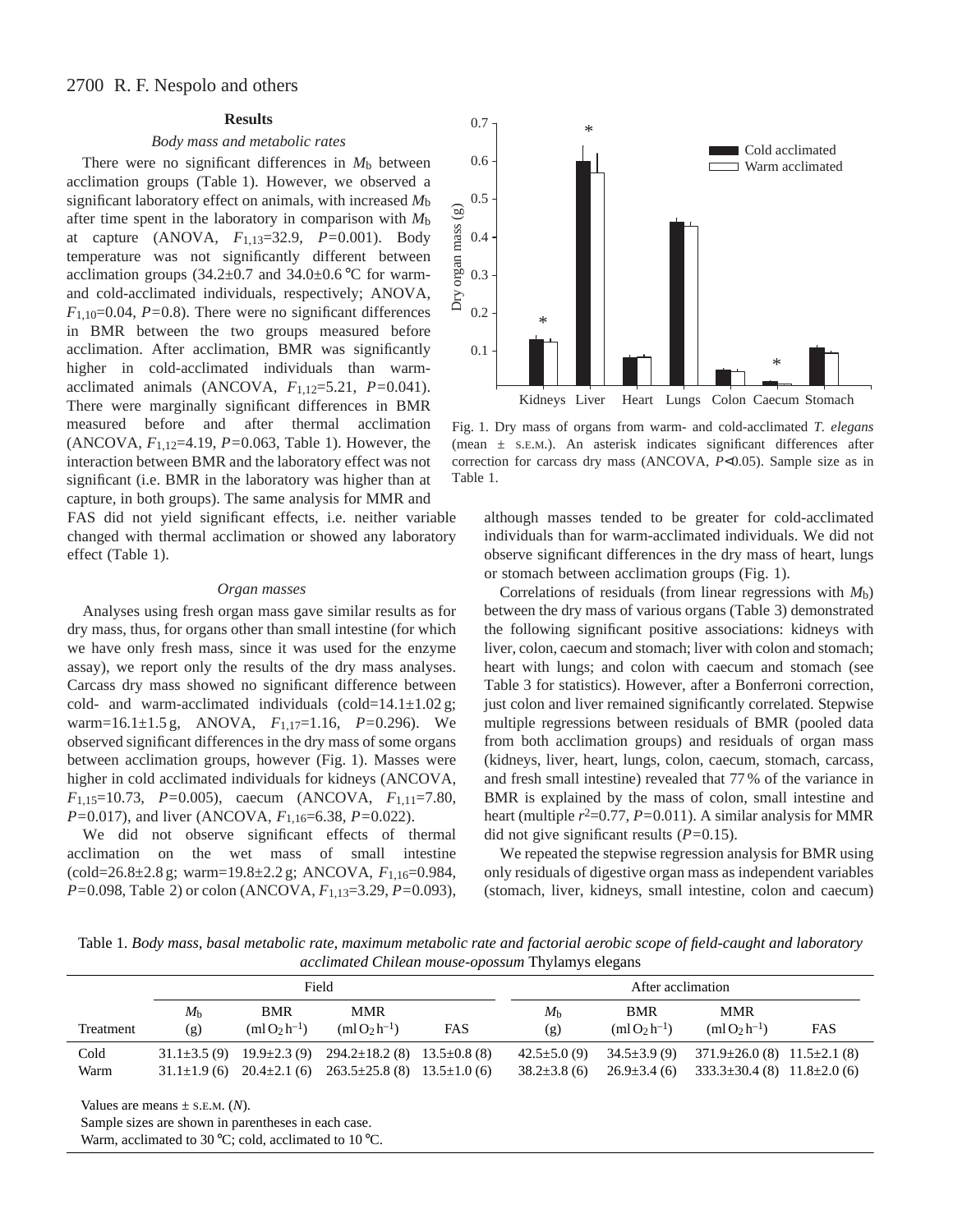# 2700 R. F. Nespolo and others

# **Results**

# *Body mass and metabolic rates*

There were no significant differences in  $M<sub>b</sub>$  between acclimation groups (Table 1). However, we observed a significant laboratory effect on animals, with increased *M*b after time spent in the laboratory in comparison with *M*b at capture (ANOVA, *F*1,13=32.9, *P=*0.001). Body temperature was not significantly different between acclimation groups  $(34.2\pm0.7 \text{ and } 34.0\pm0.6 \degree \text{C}$  for warmand cold-acclimated individuals, respectively; ANOVA,  $F_{1,10}=0.04$ ,  $P=0.8$ ). There were no significant differences in BMR between the two groups measured before acclimation. After acclimation, BMR was significantly higher in cold-acclimated individuals than warmacclimated animals (ANCOVA, *F*1,12=5.21, *P=*0.041). There were marginally significant differences in BMR measured before and after thermal acclimation (ANCOVA, *F*1,12=4.19, *P=*0.063, Table 1). However, the interaction between BMR and the laboratory effect was not significant (i.e. BMR in the laboratory was higher than at capture, in both groups). The same analysis for MMR and FAS did not yield significant effects, i.e. neither variable

changed with thermal acclimation or showed any laboratory effect (Table 1).

# *Organ masses*

Analyses using fresh organ mass gave similar results as for dry mass, thus, for organs other than small intestine (for which we have only fresh mass, since it was used for the enzyme assay), we report only the results of the dry mass analyses. Carcass dry mass showed no significant difference between cold- and warm-acclimated individuals (cold= $14.1 \pm 1.02$  g; warm=16.1±1.5 g, ANOVA, *F*1,17=1.16, *P=*0.296). We observed significant differences in the dry mass of some organs between acclimation groups, however (Fig. 1). Masses were higher in cold acclimated individuals for kidneys (ANCOVA, *F*1,15=10.73, *P=*0.005), caecum (ANCOVA, *F*1,11=7.80, *P=*0.017), and liver (ANCOVA, *F*1,16=6.38, *P=*0.022).

We did not observe significant effects of thermal acclimation on the wet mass of small intestine (cold=26.8±2.8 g; warm=19.8±2.2 g; ANCOVA, *F*1,16=0.984, *P=*0.098, Table 2) or colon (ANCOVA, *F*1,13=3.29, *P=*0.093),



Fig. 1. Dry mass of organs from warm- and cold-acclimated *T. elegans* (mean ± S.E.M.). An asterisk indicates significant differences after correction for carcass dry mass (ANCOVA, *P*<0.05). Sample size as in Table 1.

although masses tended to be greater for cold-acclimated individuals than for warm-acclimated individuals. We did not observe significant differences in the dry mass of heart, lungs or stomach between acclimation groups (Fig. 1).

Correlations of residuals (from linear regressions with *M*b) between the dry mass of various organs (Table 3) demonstrated the following significant positive associations: kidneys with liver, colon, caecum and stomach; liver with colon and stomach; heart with lungs; and colon with caecum and stomach (see Table 3 for statistics). However, after a Bonferroni correction, just colon and liver remained significantly correlated. Stepwise multiple regressions between residuals of BMR (pooled data from both acclimation groups) and residuals of organ mass (kidneys, liver, heart, lungs, colon, caecum, stomach, carcass, and fresh small intestine) revealed that 77 % of the variance in BMR is explained by the mass of colon, small intestine and heart (multiple  $r^2$ =0.77, *P*=0.011). A similar analysis for MMR did not give significant results (*P=*0.15).

We repeated the stepwise regression analysis for BMR using only residuals of digestive organ mass as independent variables (stomach, liver, kidneys, small intestine, colon and caecum)

Table 1. *Body mass, basal metabolic rate, maximum metabolic rate and factorial aerobic scope of field-caught and laboratory acclimated Chilean mouse-opossum* Thylamys elegans

|              | Field              |                                                            |                                                                                |     | After acclimation                       |                                        |                                                                                    |            |
|--------------|--------------------|------------------------------------------------------------|--------------------------------------------------------------------------------|-----|-----------------------------------------|----------------------------------------|------------------------------------------------------------------------------------|------------|
| Treatment    | $M_{\rm b}$<br>(g) | <b>BMR</b><br>$(m1O2 h-1)$                                 | <b>MMR</b><br>$(m1O_2 h^{-1})$                                                 | FAS | M <sub>h</sub><br>(g)                   | <b>BMR</b><br>$(m1O2 h-1)$             | <b>MMR</b><br>$(m1O_2h^{-1})$                                                      | <b>FAS</b> |
| Cold<br>Warm | $31.1\pm3.5(9)$    | $19.9 \pm 2.3(9)$<br>$31.1 \pm 1.9$ (6) $20.4 \pm 2.1$ (6) | $294.2 \pm 18.2$ (8) $13.5 \pm 0.8$ (8)<br>$263.5\pm25.8$ (8) $13.5\pm1.0$ (6) |     | $42.5 \pm 5.0(9)$<br>$38.2 \pm 3.8$ (6) | $34.5 \pm 3.9(9)$<br>$26.9 \pm 3.4(6)$ | $371.9 \pm 26.0$ (8) $11.5 \pm 2.1$ (8)<br>$333.3 \pm 30.4$ (8) $11.8 \pm 2.0$ (6) |            |
|              |                    |                                                            |                                                                                |     |                                         |                                        |                                                                                    |            |

Values are means ± S.E.M. (*N*).

Warm, acclimated to 30 °C; cold, acclimated to 10 °C.

Sample sizes are shown in parentheses in each case.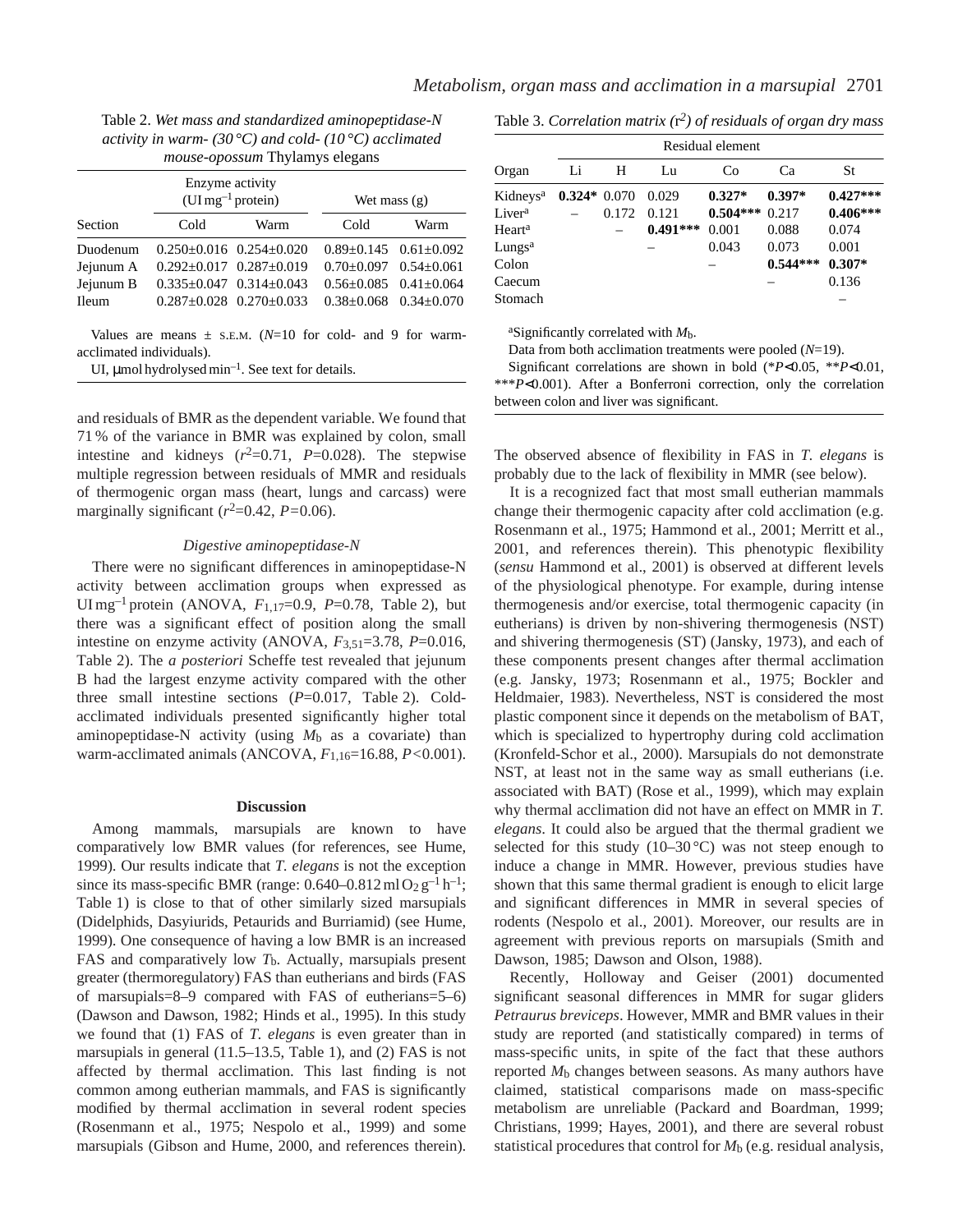Table 2. *Wet mass and standardized aminopeptidase-N activity in warm- (30 °C) and cold- (10 °C) acclimated mouse-opossum* Thylamys elegans

|              | Enzyme activity<br>$(UImg^{-1}$ protein) |                                     | Wet mass $(g)$                    |                           |  |
|--------------|------------------------------------------|-------------------------------------|-----------------------------------|---------------------------|--|
| Section      | Cold                                     | Warm                                | Cold                              | Warm                      |  |
| Duodenum     |                                          | $0.250 \pm 0.016$ $0.254 \pm 0.020$ |                                   | $0.89+0.145$ $0.61+0.092$ |  |
| Jejunum A    |                                          | $0.292 \pm 0.017$ $0.287 \pm 0.019$ | $0.70 \pm 0.097$ $0.54 \pm 0.061$ |                           |  |
| Jejunum B    |                                          | $0.335 \pm 0.047$ $0.314 \pm 0.043$ |                                   | $0.56+0.085$ $0.41+0.064$ |  |
| <b>Ileum</b> |                                          | $0.287+0.028$ $0.270+0.033$         |                                   | $0.38+0.068$ $0.34+0.070$ |  |

Values are means  $\pm$  s.E.M. ( $N=10$  for cold- and 9 for warmacclimated individuals).

UI,  $\mu$ mol hydrolysed min<sup>-1</sup>. See text for details.

and residuals of BMR as the dependent variable. We found that 71 % of the variance in BMR was explained by colon, small intestine and kidneys  $(r^2=0.71, P=0.028)$ . The stepwise multiple regression between residuals of MMR and residuals of thermogenic organ mass (heart, lungs and carcass) were marginally significant  $(r^2=0.42, P=0.06)$ .

### *Digestive aminopeptidase-N*

There were no significant differences in aminopeptidase-N activity between acclimation groups when expressed as UI mg–1 protein (ANOVA, *F*1,17=0.9, *P*=0.78, Table 2), but there was a significant effect of position along the small intestine on enzyme activity (ANOVA, *F*3,51=3.78, *P*=0.016, Table 2). The *a posteriori* Scheffe test revealed that jejunum B had the largest enzyme activity compared with the other three small intestine sections (*P*=0.017, Table 2). Coldacclimated individuals presented significantly higher total aminopeptidase-N activity (using *M*b as a covariate) than warm-acclimated animals (ANCOVA, *F*1,16=16.88, *P<*0.001).

#### **Discussion**

Among mammals, marsupials are known to have comparatively low BMR values (for references, see Hume, 1999). Our results indicate that *T. elegans* is not the exception since its mass-specific BMR (range:  $0.640-0.812 \text{ ml } O_2 \text{ g}^{-1} \text{ h}^{-1}$ ; Table 1) is close to that of other similarly sized marsupials (Didelphids, Dasyiurids, Petaurids and Burriamid) (see Hume, 1999). One consequence of having a low BMR is an increased FAS and comparatively low  $T<sub>b</sub>$ . Actually, marsupials present greater (thermoregulatory) FAS than eutherians and birds (FAS of marsupials=8–9 compared with FAS of eutherians=5–6) (Dawson and Dawson, 1982; Hinds et al., 1995). In this study we found that (1) FAS of *T. elegans* is even greater than in marsupials in general (11.5–13.5, Table 1), and (2) FAS is not affected by thermal acclimation. This last finding is not common among eutherian mammals, and FAS is significantly modified by thermal acclimation in several rodent species (Rosenmann et al., 1975; Nespolo et al., 1999) and some marsupials (Gibson and Hume, 2000, and references therein).

Table 3. *Correlation matrix (*r*2) of residuals of organ dry mass*

|                      | Residual element |       |            |            |            |            |  |  |
|----------------------|------------------|-------|------------|------------|------------|------------|--|--|
| Organ                | Li               | Н     | Lu         | Co         | Ca         | St         |  |  |
| Kidneys <sup>a</sup> | $0.324*0.070$    |       | 0.029      | $0.327*$   | $0.397*$   | $0.427***$ |  |  |
| Liver <sup>a</sup>   |                  | 0.172 | 0.121      | $0.504***$ | 0.217      | $0.406***$ |  |  |
| Heart <sup>a</sup>   |                  |       | $0.491***$ | 0.001      | 0.088      | 0.074      |  |  |
| Lungs <sup>a</sup>   |                  |       |            | 0.043      | 0.073      | 0.001      |  |  |
| Colon                |                  |       |            |            | $0.544***$ | $0.307*$   |  |  |
| Caecum               |                  |       |            |            |            | 0.136      |  |  |
| Stomach              |                  |       |            |            |            |            |  |  |

aSignificantly correlated with *M*b.

Data from both acclimation treatments were pooled (*N*=19).

Significant correlations are shown in bold (\**P*<0.05, \*\**P*<0.01, \*\*\**P*<0.001). After a Bonferroni correction, only the correlation between colon and liver was significant.

The observed absence of flexibility in FAS in *T. elegans* is probably due to the lack of flexibility in MMR (see below).

It is a recognized fact that most small eutherian mammals change their thermogenic capacity after cold acclimation (e.g. Rosenmann et al., 1975; Hammond et al., 2001; Merritt et al., 2001, and references therein). This phenotypic flexibility (*sensu* Hammond et al., 2001) is observed at different levels of the physiological phenotype. For example, during intense thermogenesis and/or exercise, total thermogenic capacity (in eutherians) is driven by non-shivering thermogenesis (NST) and shivering thermogenesis (ST) (Jansky, 1973), and each of these components present changes after thermal acclimation (e.g. Jansky, 1973; Rosenmann et al., 1975; Bockler and Heldmaier, 1983). Nevertheless, NST is considered the most plastic component since it depends on the metabolism of BAT, which is specialized to hypertrophy during cold acclimation (Kronfeld-Schor et al., 2000). Marsupials do not demonstrate NST, at least not in the same way as small eutherians (i.e. associated with BAT) (Rose et al., 1999), which may explain why thermal acclimation did not have an effect on MMR in *T. elegans*. It could also be argued that the thermal gradient we selected for this study  $(10-30\degree C)$  was not steep enough to induce a change in MMR. However, previous studies have shown that this same thermal gradient is enough to elicit large and significant differences in MMR in several species of rodents (Nespolo et al., 2001). Moreover, our results are in agreement with previous reports on marsupials (Smith and Dawson, 1985; Dawson and Olson, 1988).

Recently, Holloway and Geiser (2001) documented significant seasonal differences in MMR for sugar gliders *Petraurus breviceps*. However, MMR and BMR values in their study are reported (and statistically compared) in terms of mass-specific units, in spite of the fact that these authors reported *M*b changes between seasons. As many authors have claimed, statistical comparisons made on mass-specific metabolism are unreliable (Packard and Boardman, 1999; Christians, 1999; Hayes, 2001), and there are several robust statistical procedures that control for *M*b (e.g. residual analysis,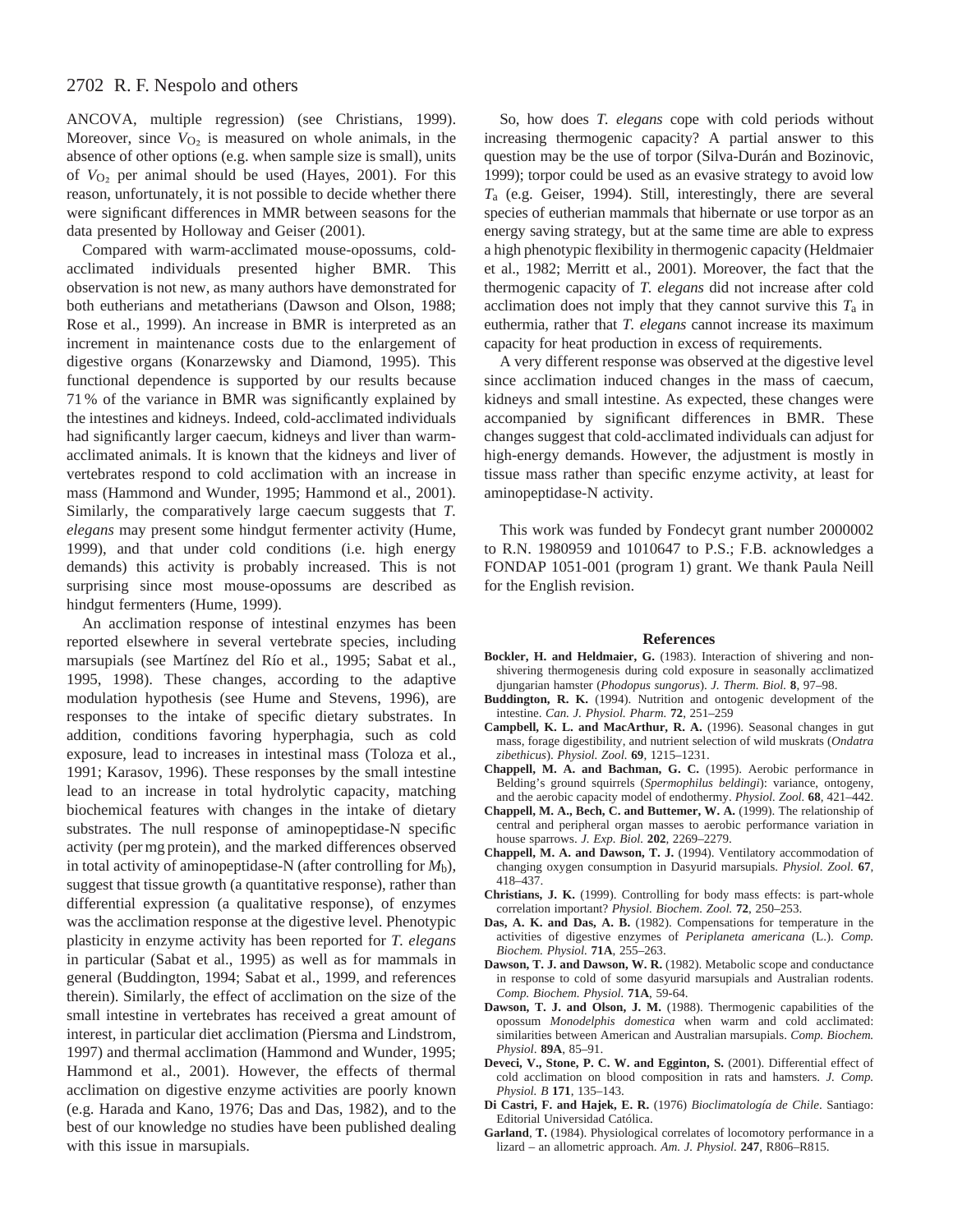# 2702 R. F. Nespolo and others

ANCOVA, multiple regression) (see Christians, 1999). Moreover, since  $V_{O_2}$  is measured on whole animals, in the absence of other options (e.g. when sample size is small), units of  $V_{\text{O}_2}$  per animal should be used (Hayes, 2001). For this reason, unfortunately, it is not possible to decide whether there were significant differences in MMR between seasons for the data presented by Holloway and Geiser (2001).

Compared with warm-acclimated mouse-opossums, coldacclimated individuals presented higher BMR. This observation is not new, as many authors have demonstrated for both eutherians and metatherians (Dawson and Olson, 1988; Rose et al., 1999). An increase in BMR is interpreted as an increment in maintenance costs due to the enlargement of digestive organs (Konarzewsky and Diamond, 1995). This functional dependence is supported by our results because 71 % of the variance in BMR was significantly explained by the intestines and kidneys. Indeed, cold-acclimated individuals had significantly larger caecum, kidneys and liver than warmacclimated animals. It is known that the kidneys and liver of vertebrates respond to cold acclimation with an increase in mass (Hammond and Wunder, 1995; Hammond et al., 2001). Similarly, the comparatively large caecum suggests that *T. elegans* may present some hindgut fermenter activity (Hume, 1999), and that under cold conditions (i.e. high energy demands) this activity is probably increased. This is not surprising since most mouse-opossums are described as hindgut fermenters (Hume, 1999).

An acclimation response of intestinal enzymes has been reported elsewhere in several vertebrate species, including marsupials (see Martínez del Río et al., 1995; Sabat et al., 1995, 1998). These changes, according to the adaptive modulation hypothesis (see Hume and Stevens, 1996), are responses to the intake of specific dietary substrates. In addition, conditions favoring hyperphagia, such as cold exposure, lead to increases in intestinal mass (Toloza et al., 1991; Karasov, 1996). These responses by the small intestine lead to an increase in total hydrolytic capacity, matching biochemical features with changes in the intake of dietary substrates. The null response of aminopeptidase-N specific activity (per mg protein), and the marked differences observed in total activity of aminopeptidase-N (after controlling for  $M_b$ ), suggest that tissue growth (a quantitative response), rather than differential expression (a qualitative response), of enzymes was the acclimation response at the digestive level. Phenotypic plasticity in enzyme activity has been reported for *T. elegans* in particular (Sabat et al., 1995) as well as for mammals in general (Buddington, 1994; Sabat et al., 1999, and references therein). Similarly, the effect of acclimation on the size of the small intestine in vertebrates has received a great amount of interest, in particular diet acclimation (Piersma and Lindstrom, 1997) and thermal acclimation (Hammond and Wunder, 1995; Hammond et al., 2001). However, the effects of thermal acclimation on digestive enzyme activities are poorly known (e.g. Harada and Kano, 1976; Das and Das, 1982), and to the best of our knowledge no studies have been published dealing with this issue in marsupials.

So, how does *T. elegans* cope with cold periods without increasing thermogenic capacity? A partial answer to this question may be the use of torpor (Silva-Durán and Bozinovic, 1999); torpor could be used as an evasive strategy to avoid low *T*a (e.g. Geiser, 1994). Still, interestingly, there are several species of eutherian mammals that hibernate or use torpor as an energy saving strategy, but at the same time are able to express a high phenotypic flexibility in thermogenic capacity (Heldmaier et al., 1982; Merritt et al., 2001). Moreover, the fact that the thermogenic capacity of *T. elegans* did not increase after cold acclimation does not imply that they cannot survive this *T*a in euthermia, rather that *T. elegans* cannot increase its maximum capacity for heat production in excess of requirements.

A very different response was observed at the digestive level since acclimation induced changes in the mass of caecum, kidneys and small intestine. As expected, these changes were accompanied by significant differences in BMR. These changes suggest that cold-acclimated individuals can adjust for high-energy demands. However, the adjustment is mostly in tissue mass rather than specific enzyme activity, at least for aminopeptidase-N activity.

This work was funded by Fondecyt grant number 2000002 to R.N. 1980959 and 1010647 to P.S.; F.B. acknowledges a FONDAP 1051-001 (program 1) grant. We thank Paula Neill for the English revision.

#### **References**

- **Bockler, H. and Heldmaier, G.** (1983). Interaction of shivering and nonshivering thermogenesis during cold exposure in seasonally acclimatized djungarian hamster (*Phodopus sungorus*). *J. Therm. Biol.* **8**, 97–98.
- **Buddington, R. K.** (1994). Nutrition and ontogenic development of the intestine. *Can. J. Physiol. Pharm.* **72**, 251–259
- **Campbell, K. L. and MacArthur, R. A.** (1996). Seasonal changes in gut mass, forage digestibility, and nutrient selection of wild muskrats (*Ondatra zibethicus*). *Physiol. Zool.* **69**, 1215–1231.
- **Chappell, M. A. and Bachman, G. C.** (1995). Aerobic performance in Belding's ground squirrels (*Spermophilus beldingi*): variance, ontogeny, and the aerobic capacity model of endothermy. *Physiol. Zool.* **68**, 421–442.
- **Chappell, M. A., Bech, C. and Buttemer, W. A.** (1999). The relationship of central and peripheral organ masses to aerobic performance variation in house sparrows. *J. Exp. Biol.* **202**, 2269–2279.
- **Chappell, M. A. and Dawson, T. J.** (1994). Ventilatory accommodation of changing oxygen consumption in Dasyurid marsupials. *Physiol. Zool.* **67**, 418–437.
- **Christians, J. K.** (1999). Controlling for body mass effects: is part-whole correlation important? *Physiol. Biochem. Zool.* **72**, 250–253.
- **Das, A. K. and Das, A. B.** (1982). Compensations for temperature in the activities of digestive enzymes of *Periplaneta americana* (L.). *Comp. Biochem. Physiol.* **71A**, 255–263.
- **Dawson, T. J. and Dawson, W. R.** (1982). Metabolic scope and conductance in response to cold of some dasyurid marsupials and Australian rodents. *Comp. Biochem. Physiol.* **71A**, 59-64.
- **Dawson, T. J. and Olson, J. M.** (1988). Thermogenic capabilities of the opossum *Monodelphis domestica* when warm and cold acclimated: similarities between American and Australian marsupials. *Comp. Biochem. Physiol*. **89A**, 85–91.
- Deveci, V., Stone, P. C. W. and Egginton, S. (2001). Differential effect of cold acclimation on blood composition in rats and hamsters. *J. Comp. Physiol. B* **171**, 135–143.
- **Di Castri, F. and Hajek, E. R.** (1976) *Bioclimatología de Chile*. Santiago: Editorial Universidad Católica.
- **Garland**, **T.** (1984). Physiological correlates of locomotory performance in a lizard – an allometric approach. *Am. J. Physiol.* **247**, R806–R815.